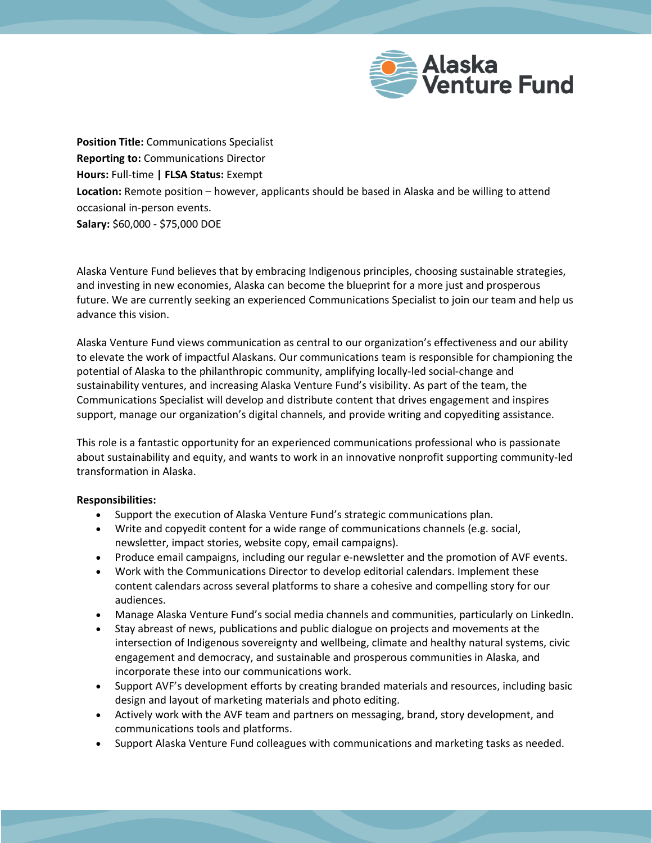

**Position Title:** Communications Specialist **Reporting to:** Communications Director **Hours:** Full-time **| FLSA Status:** Exempt **Location:** Remote position – however, applicants should be based in Alaska and be willing to attend occasional in-person events. **Salary:** \$60,000 - \$75,000 DOE

Alaska Venture Fund believes that by embracing Indigenous principles, choosing sustainable strategies, and investing in new economies, Alaska can become the blueprint for a more just and prosperous future. We are currently seeking an experienced Communications Specialist to join our team and help us advance this vision.

Alaska Venture Fund views communication as central to our organization's effectiveness and our ability to elevate the work of impactful Alaskans. Our communications team is responsible for championing the potential of Alaska to the philanthropic community, amplifying locally-led social-change and sustainability ventures, and increasing Alaska Venture Fund's visibility. As part of the team, the Communications Specialist will develop and distribute content that drives engagement and inspires support, manage our organization's digital channels, and provide writing and copyediting assistance.

This role is a fantastic opportunity for an experienced communications professional who is passionate about sustainability and equity, and wants to work in an innovative nonprofit supporting community-led transformation in Alaska.

# **Responsibilities:**

- Support the execution of Alaska Venture Fund's strategic communications plan.
- Write and copyedit content for a wide range of communications channels (e.g. social, newsletter, impact stories, website copy, email campaigns).
- Produce email campaigns, including our regular e-newsletter and the promotion of AVF events.
- Work with the Communications Director to develop editorial calendars. Implement these content calendars across several platforms to share a cohesive and compelling story for our audiences.
- Manage Alaska Venture Fund's social media channels and communities, particularly on LinkedIn.
- Stay abreast of news, publications and public dialogue on projects and movements at the intersection of Indigenous sovereignty and wellbeing, climate and healthy natural systems, civic engagement and democracy, and sustainable and prosperous communities in Alaska, and incorporate these into our communications work.
- Support AVF's development efforts by creating branded materials and resources, including basic design and layout of marketing materials and photo editing.
- Actively work with the AVF team and partners on messaging, brand, story development, and communications tools and platforms.
- Support Alaska Venture Fund colleagues with communications and marketing tasks as needed.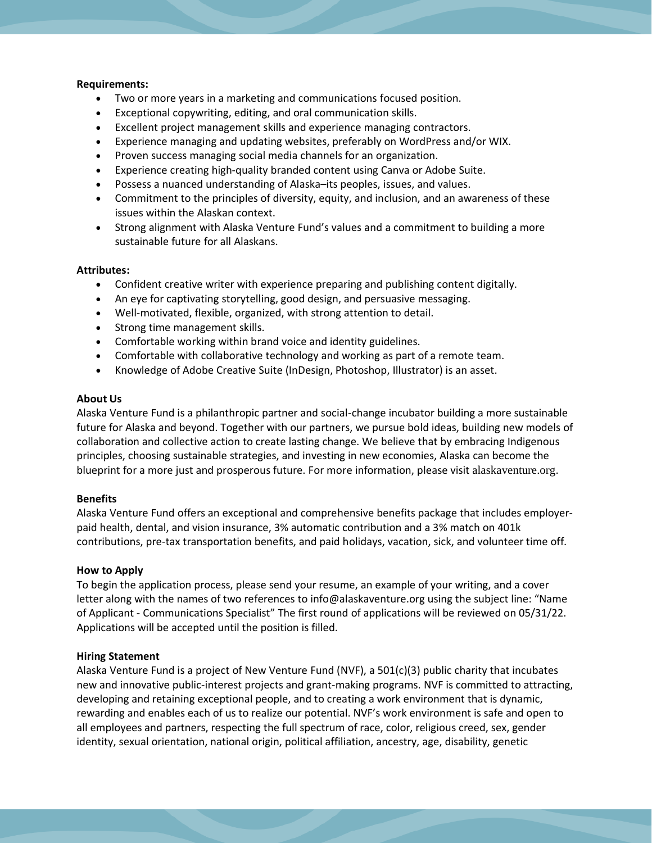### **Requirements:**

- Two or more years in a marketing and communications focused position.
- Exceptional copywriting, editing, and oral communication skills.
- Excellent project management skills and experience managing contractors.
- Experience managing and updating websites, preferably on WordPress and/or WIX.
- Proven success managing social media channels for an organization.
- Experience creating high-quality branded content using Canva or Adobe Suite.
- Possess a nuanced understanding of Alaska–its peoples, issues, and values.
- Commitment to the principles of diversity, equity, and inclusion, and an awareness of these issues within the Alaskan context.
- Strong alignment with Alaska Venture Fund's values and a commitment to building a more sustainable future for all Alaskans.

### **Attributes:**

- Confident creative writer with experience preparing and publishing content digitally.
- An eye for captivating storytelling, good design, and persuasive messaging.
- Well-motivated, flexible, organized, with strong attention to detail.
- Strong time management skills.
- Comfortable working within brand voice and identity guidelines.
- Comfortable with collaborative technology and working as part of a remote team.
- Knowledge of Adobe Creative Suite (InDesign, Photoshop, Illustrator) is an asset.

# **About Us**

Alaska Venture Fund is a philanthropic partner and social-change incubator building a more sustainable future for Alaska and beyond. Together with our partners, we pursue bold ideas, building new models of collaboration and collective action to create lasting change. We believe that by embracing Indigenous principles, choosing sustainable strategies, and investing in new economies, Alaska can become the blueprint for a more just and prosperous future. For more information, please visit [alaskaventure.org](https://alaskaventure.org/).

# **Benefits**

Alaska Venture Fund offers an exceptional and comprehensive benefits package that includes employerpaid health, dental, and vision insurance, 3% automatic contribution and a 3% match on 401k contributions, pre-tax transportation benefits, and paid holidays, vacation, sick, and volunteer time off.

# **How to Apply**

To begin the application process, please send your resume, an example of your writing, and a cover letter along with the names of two references to info@alaskaventure.org using the subject line: "Name of Applicant - Communications Specialist" The first round of applications will be reviewed on 05/31/22. Applications will be accepted until the position is filled.

# **Hiring Statement**

Alaska Venture Fund is a project of New Venture Fund (NVF), a 501(c)(3) public charity that incubates new and innovative public-interest projects and grant-making programs. NVF is committed to attracting, developing and retaining exceptional people, and to creating a work environment that is dynamic, rewarding and enables each of us to realize our potential. NVF's work environment is safe and open to all employees and partners, respecting the full spectrum of race, color, religious creed, sex, gender identity, sexual orientation, national origin, political affiliation, ancestry, age, disability, genetic